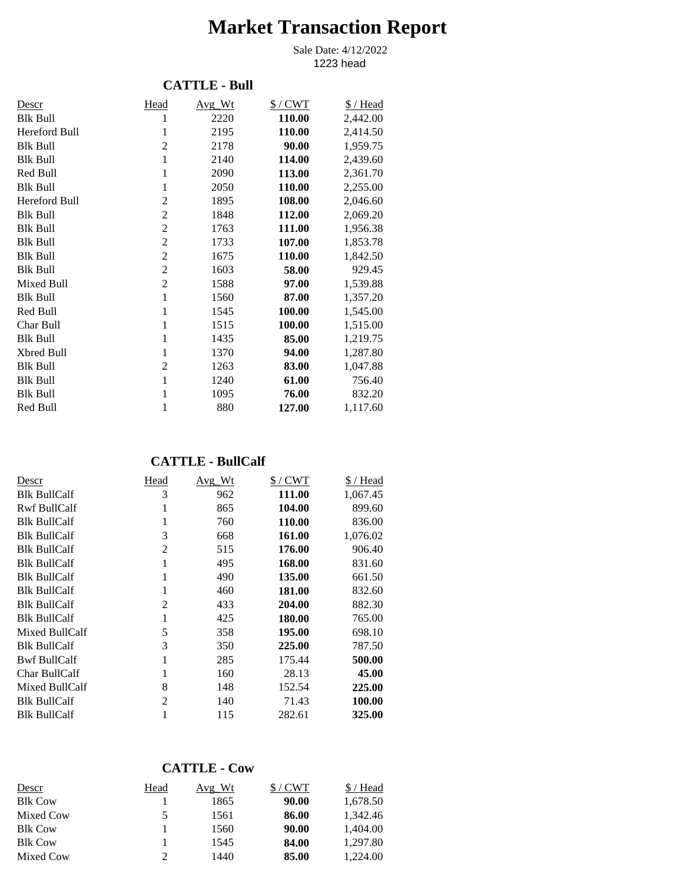# **Market Transaction Report**

1223 head Sale Date: 4/12/2022

#### **CATTLE - Bull**

| Descr           | Head           | Avg Wt | $$/$ CWT | \$/Head  |
|-----------------|----------------|--------|----------|----------|
| <b>Blk Bull</b> | 1              | 2220   | 110.00   | 2,442.00 |
| Hereford Bull   | 1              | 2195   | 110.00   | 2,414.50 |
| <b>Blk Bull</b> | $\overline{2}$ | 2178   | 90.00    | 1,959.75 |
| <b>Blk Bull</b> | $\mathbf{1}$   | 2140   | 114.00   | 2,439.60 |
| Red Bull        | 1              | 2090   | 113.00   | 2,361.70 |
| <b>Blk Bull</b> | 1              | 2050   | 110.00   | 2,255.00 |
| Hereford Bull   | $\overline{2}$ | 1895   | 108.00   | 2,046.60 |
| <b>Blk Bull</b> | $\overline{c}$ | 1848   | 112.00   | 2,069.20 |
| <b>Blk Bull</b> | $\overline{c}$ | 1763   | 111.00   | 1,956.38 |
| <b>Blk Bull</b> | $\overline{2}$ | 1733   | 107.00   | 1,853.78 |
| <b>Blk Bull</b> | $\overline{c}$ | 1675   | 110.00   | 1,842.50 |
| <b>Blk Bull</b> | $\overline{2}$ | 1603   | 58.00    | 929.45   |
| Mixed Bull      | $\overline{2}$ | 1588   | 97.00    | 1,539.88 |
| <b>Blk Bull</b> | $\mathbf{1}$   | 1560   | 87.00    | 1,357.20 |
| Red Bull        | 1              | 1545   | 100.00   | 1,545.00 |
| Char Bull       | 1              | 1515   | 100.00   | 1,515.00 |
| <b>Blk Bull</b> | 1              | 1435   | 85.00    | 1,219.75 |
| Xbred Bull      | 1              | 1370   | 94.00    | 1,287.80 |
| <b>Blk Bull</b> | $\overline{2}$ | 1263   | 83.00    | 1,047.88 |
| <b>Blk Bull</b> | 1              | 1240   | 61.00    | 756.40   |
| <b>Blk Bull</b> | 1              | 1095   | 76.00    | 832.20   |
| Red Bull        | 1              | 880    | 127.00   | 1,117.60 |

#### **CATTLE - BullCalf**

| Descr               | Head           | Avg_Wt | $$/$ CWT | \$ / Head |
|---------------------|----------------|--------|----------|-----------|
| <b>Blk BullCalf</b> | 3              | 962    | 111.00   | 1,067.45  |
| Rwf BullCalf        | 1              | 865    | 104.00   | 899.60    |
| <b>Blk BullCalf</b> | 1              | 760    | 110.00   | 836.00    |
| <b>Blk BullCalf</b> | 3              | 668    | 161.00   | 1,076.02  |
| <b>Blk BullCalf</b> | $\overline{2}$ | 515    | 176.00   | 906.40    |
| <b>Blk BullCalf</b> | 1              | 495    | 168.00   | 831.60    |
| <b>Blk BullCalf</b> | 1              | 490    | 135.00   | 661.50    |
| <b>Blk BullCalf</b> | 1              | 460    | 181.00   | 832.60    |
| <b>Blk BullCalf</b> | $\overline{2}$ | 433    | 204.00   | 882.30    |
| <b>Blk BullCalf</b> | 1              | 425    | 180.00   | 765.00    |
| Mixed BullCalf      | 5              | 358    | 195.00   | 698.10    |
| <b>Blk BullCalf</b> | 3              | 350    | 225.00   | 787.50    |
| <b>Bwf BullCalf</b> | 1              | 285    | 175.44   | 500.00    |
| Char BullCalf       |                | 160    | 28.13    | 45.00     |
| Mixed BullCalf      | 8              | 148    | 152.54   | 225.00    |
| <b>Blk BullCalf</b> | $\overline{c}$ | 140    | 71.43    | 100.00    |
| <b>Blk BullCalf</b> |                | 115    | 282.61   | 325.00    |

## **CATTLE - Cow**

| Descr          | Head | Avg Wt | $$/$ CWT | \$/Head  |
|----------------|------|--------|----------|----------|
| <b>Blk Cow</b> |      | 1865   | 90.00    | 1,678.50 |
| Mixed Cow      | 5.   | 1561   | 86.00    | 1.342.46 |
| <b>Blk Cow</b> |      | 1560   | 90.00    | 1.404.00 |
| <b>Blk Cow</b> |      | 1545   | 84.00    | 1.297.80 |
| Mixed Cow      |      | 1440   | 85.00    | 1.224.00 |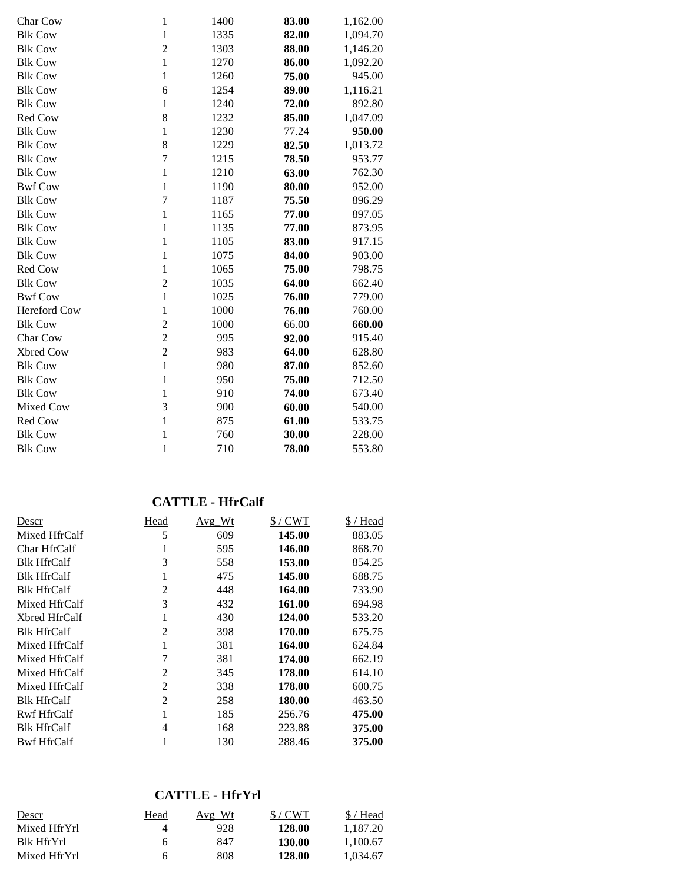| Char Cow       | $\mathbf{1}$   | 1400 | 83.00 | 1,162.00 |
|----------------|----------------|------|-------|----------|
| <b>Blk Cow</b> | $\mathbf{1}$   | 1335 | 82.00 | 1,094.70 |
| <b>Blk Cow</b> | $\overline{2}$ | 1303 | 88.00 | 1,146.20 |
| <b>Blk Cow</b> | $\mathbf{1}$   | 1270 | 86.00 | 1,092.20 |
| <b>Blk Cow</b> | $\mathbf{1}$   | 1260 | 75.00 | 945.00   |
| <b>Blk Cow</b> | 6              | 1254 | 89.00 | 1,116.21 |
| <b>Blk Cow</b> | $\mathbf{1}$   | 1240 | 72.00 | 892.80   |
| Red Cow        | 8              | 1232 | 85.00 | 1,047.09 |
| <b>Blk Cow</b> | $\mathbf{1}$   | 1230 | 77.24 | 950.00   |
| <b>Blk Cow</b> | 8              | 1229 | 82.50 | 1,013.72 |
| <b>Blk Cow</b> | $\tau$         | 1215 | 78.50 | 953.77   |
| <b>Blk Cow</b> | $\mathbf{1}$   | 1210 | 63.00 | 762.30   |
| <b>Bwf Cow</b> | $\mathbf{1}$   | 1190 | 80.00 | 952.00   |
| <b>Blk Cow</b> | $\overline{7}$ | 1187 | 75.50 | 896.29   |
| <b>Blk Cow</b> | $\mathbf{1}$   | 1165 | 77.00 | 897.05   |
| <b>Blk Cow</b> | $\mathbf{1}$   | 1135 | 77.00 | 873.95   |
| <b>Blk Cow</b> | $\mathbf{1}$   | 1105 | 83.00 | 917.15   |
| <b>Blk Cow</b> | $\mathbf{1}$   | 1075 | 84.00 | 903.00   |
| Red Cow        | $\mathbf{1}$   | 1065 | 75.00 | 798.75   |
| <b>Blk Cow</b> | $\overline{c}$ | 1035 | 64.00 | 662.40   |
| <b>Bwf Cow</b> | $\mathbf{1}$   | 1025 | 76.00 | 779.00   |
| Hereford Cow   | 1              | 1000 | 76.00 | 760.00   |
| <b>Blk Cow</b> | $\overline{2}$ | 1000 | 66.00 | 660.00   |
| Char Cow       | $\overline{c}$ | 995  | 92.00 | 915.40   |
| Xbred Cow      | $\overline{2}$ | 983  | 64.00 | 628.80   |
| <b>Blk Cow</b> | $\mathbf{1}$   | 980  | 87.00 | 852.60   |
| <b>Blk Cow</b> | $\mathbf{1}$   | 950  | 75.00 | 712.50   |
| <b>Blk Cow</b> | 1              | 910  | 74.00 | 673.40   |
| Mixed Cow      | 3              | 900  | 60.00 | 540.00   |
| Red Cow        | $\mathbf{1}$   | 875  | 61.00 | 533.75   |
| <b>Blk Cow</b> | 1              | 760  | 30.00 | 228.00   |
| <b>Blk Cow</b> | 1              | 710  | 78.00 | 553.80   |
|                |                |      |       |          |

## **CATTLE - HfrCalf**

| Descr              | Head           | Avg Wt | $$/$ CWT | \$/Head |
|--------------------|----------------|--------|----------|---------|
| Mixed HfrCalf      | 5              | 609    | 145.00   | 883.05  |
| Char HfrCalf       | 1              | 595    | 146.00   | 868.70  |
| <b>Blk HfrCalf</b> | 3              | 558    | 153.00   | 854.25  |
| <b>Blk HfrCalf</b> | 1              | 475    | 145.00   | 688.75  |
| <b>Blk HfrCalf</b> | 2              | 448    | 164.00   | 733.90  |
| Mixed HfrCalf      | 3              | 432    | 161.00   | 694.98  |
| Xbred HfrCalf      | 1              | 430    | 124.00   | 533.20  |
| <b>Blk HfrCalf</b> | $\overline{c}$ | 398    | 170.00   | 675.75  |
| Mixed HfrCalf      | 1              | 381    | 164.00   | 624.84  |
| Mixed HfrCalf      |                | 381    | 174.00   | 662.19  |
| Mixed HfrCalf      | 2              | 345    | 178.00   | 614.10  |
| Mixed HfrCalf      | 2              | 338    | 178.00   | 600.75  |
| <b>Blk HfrCalf</b> | 2              | 258    | 180.00   | 463.50  |
| Rwf HfrCalf        | 1              | 185    | 256.76   | 475.00  |
| <b>Blk HfrCalf</b> | 4              | 168    | 223.88   | 375.00  |
| <b>Bwf HfrCalf</b> |                | 130    | 288.46   | 375.00  |

## **CATTLE - HfrYrl**

| Descr        | Head | Avg Wt | $$/$ CWT | \$/Head  |
|--------------|------|--------|----------|----------|
| Mixed HfrYrl | 4    | 928    | 128.00   | 1.187.20 |
| Blk HfrYrl   | 6    | 847    | 130.00   | 1.100.67 |
| Mixed HfrYrl | h    | 808    | 128.00   | 1.034.67 |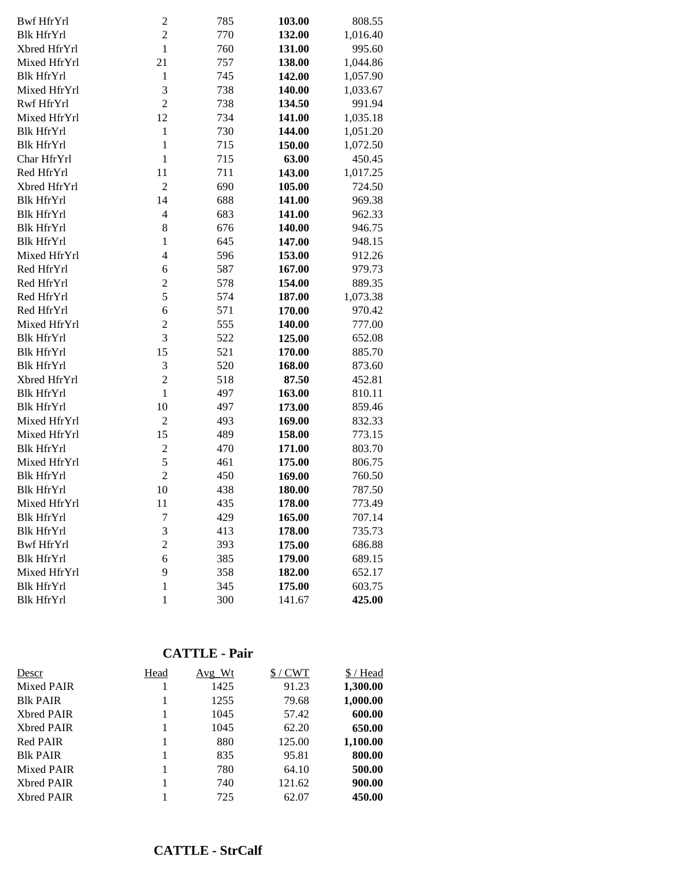| Bwf HfrYrl        | $\overline{c}$ | 785 | 103.00 | 808.55   |
|-------------------|----------------|-----|--------|----------|
| <b>Blk HfrYrl</b> | $\overline{c}$ | 770 | 132.00 | 1,016.40 |
| Xbred HfrYrl      | $\mathbf{1}$   | 760 | 131.00 | 995.60   |
| Mixed HfrYrl      | 21             | 757 | 138.00 | 1,044.86 |
| <b>Blk HfrYrl</b> | $\mathbf{1}$   | 745 | 142.00 | 1,057.90 |
| Mixed HfrYrl      | 3              | 738 | 140.00 | 1,033.67 |
| Rwf HfrYrl        | $\overline{c}$ | 738 | 134.50 | 991.94   |
| Mixed HfrYrl      | 12             | 734 | 141.00 | 1,035.18 |
| <b>Blk HfrYrl</b> | $\mathbf{1}$   | 730 | 144.00 | 1,051.20 |
| <b>Blk HfrYrl</b> | $\mathbf{1}$   | 715 | 150.00 | 1,072.50 |
| Char HfrYrl       | $\mathbf{1}$   | 715 | 63.00  | 450.45   |
| Red HfrYrl        | 11             | 711 | 143.00 | 1,017.25 |
| Xbred HfrYrl      | $\overline{2}$ | 690 | 105.00 | 724.50   |
| <b>Blk HfrYrl</b> | 14             | 688 | 141.00 | 969.38   |
| <b>Blk HfrYrl</b> | $\overline{4}$ | 683 | 141.00 | 962.33   |
| <b>Blk HfrYrl</b> | 8              | 676 | 140.00 | 946.75   |
| <b>Blk HfrYrl</b> | $\mathbf{1}$   | 645 | 147.00 | 948.15   |
| Mixed HfrYrl      | 4              | 596 | 153.00 | 912.26   |
| Red HfrYrl        | 6              | 587 | 167.00 | 979.73   |
| Red HfrYrl        | $\overline{c}$ | 578 | 154.00 | 889.35   |
| Red HfrYrl        | 5              | 574 | 187.00 | 1,073.38 |
| Red HfrYrl        | 6              | 571 | 170.00 | 970.42   |
| Mixed HfrYrl      | $\overline{c}$ | 555 | 140.00 | 777.00   |
| <b>Blk HfrYrl</b> | 3              | 522 | 125.00 | 652.08   |
| <b>Blk HfrYrl</b> | 15             | 521 | 170.00 | 885.70   |
| <b>Blk HfrYrl</b> | 3              | 520 | 168.00 | 873.60   |
| Xbred HfrYrl      | $\overline{c}$ | 518 | 87.50  | 452.81   |
| <b>Blk HfrYrl</b> | $\mathbf{1}$   | 497 | 163.00 | 810.11   |
| <b>Blk HfrYrl</b> | 10             | 497 | 173.00 | 859.46   |
| Mixed HfrYrl      | $\overline{2}$ | 493 | 169.00 | 832.33   |
| Mixed HfrYrl      | 15             | 489 | 158.00 | 773.15   |
| <b>Blk HfrYrl</b> | $\overline{2}$ | 470 | 171.00 | 803.70   |
| Mixed HfrYrl      | 5              | 461 | 175.00 | 806.75   |
| <b>Blk HfrYrl</b> | $\overline{2}$ | 450 | 169.00 | 760.50   |
| <b>Blk HfrYrl</b> | 10             | 438 | 180.00 | 787.50   |
| Mixed HfrYrl      | 11             | 435 | 178.00 | 773.49   |
| <b>Blk HfrYrl</b> | 7              | 429 | 165.00 | 707.14   |
| <b>Blk HfrYrl</b> | 3              | 413 | 178.00 | 735.73   |
| <b>Bwf HfrYrl</b> | $\overline{c}$ | 393 | 175.00 | 686.88   |
| <b>Blk HfrYrl</b> | 6              | 385 | 179.00 | 689.15   |
| Mixed HfrYrl      | 9              | 358 | 182.00 | 652.17   |
| <b>Blk HfrYrl</b> | $\mathbf{1}$   | 345 | 175.00 | 603.75   |
| <b>Blk HfrYrl</b> | $\mathbf{1}$   | 300 | 141.67 | 425.00   |

## **CATTLE - Pair**

| Descr             | Head | $Avg_Wt$ | $$/$ CWT | \$/Head  |
|-------------------|------|----------|----------|----------|
| Mixed PAIR        |      | 1425     | 91.23    | 1,300.00 |
| <b>BIK PAIR</b>   |      | 1255     | 79.68    | 1,000.00 |
| <b>Xbred PAIR</b> |      | 1045     | 57.42    | 600.00   |
| <b>Xbred PAIR</b> |      | 1045     | 62.20    | 650.00   |
| Red PAIR          |      | 880      | 125.00   | 1,100.00 |
| <b>BIK PAIR</b>   |      | 835      | 95.81    | 800.00   |
| Mixed PAIR        |      | 780      | 64.10    | 500.00   |
| <b>Xbred PAIR</b> |      | 740      | 121.62   | 900.00   |
| <b>Xbred PAIR</b> |      | 725      | 62.07    | 450.00   |
|                   |      |          |          |          |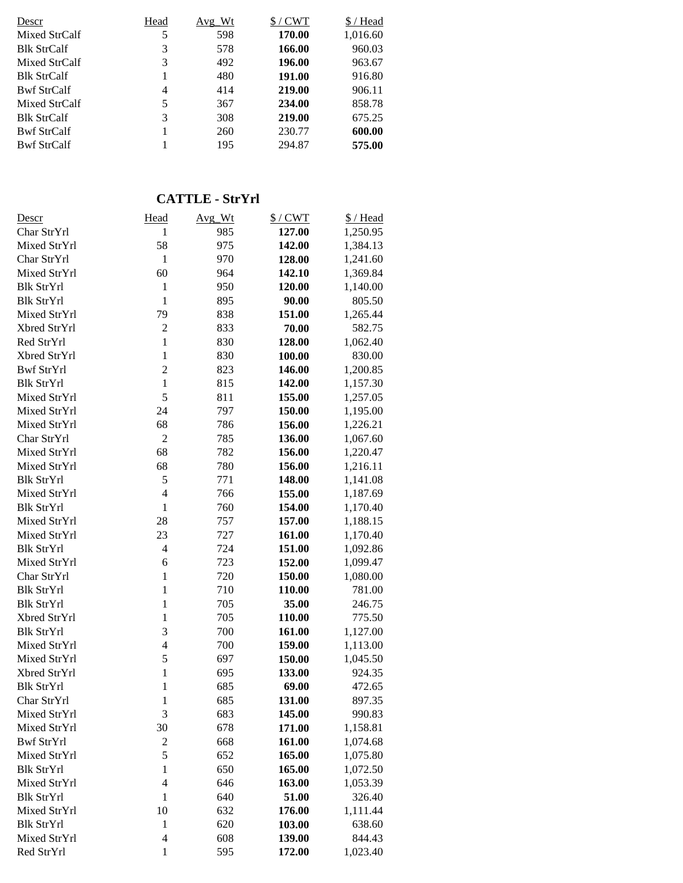| Descr              | Head | Avg Wt | $$/$ CWT | \$/Head  |
|--------------------|------|--------|----------|----------|
| Mixed StrCalf      | 5    | 598    | 170.00   | 1,016.60 |
| <b>Blk StrCalf</b> | 3    | 578    | 166.00   | 960.03   |
| Mixed StrCalf      | 3    | 492    | 196.00   | 963.67   |
| <b>Blk StrCalf</b> |      | 480    | 191.00   | 916.80   |
| <b>Bwf StrCalf</b> | 4    | 414    | 219.00   | 906.11   |
| Mixed StrCalf      | 5    | 367    | 234.00   | 858.78   |
| <b>Blk StrCalf</b> | 3    | 308    | 219.00   | 675.25   |
| <b>Bwf StrCalf</b> |      | 260    | 230.77   | 600.00   |
| <b>Bwf StrCalf</b> |      | 195    | 294.87   | 575.00   |

# **CATTLE - StrYrl**

| <u>Descr</u>      | Head             | Avg_Wt | $$/$ CWT | \$/Head  |
|-------------------|------------------|--------|----------|----------|
| Char StrYrl       | 1                | 985    | 127.00   | 1,250.95 |
| Mixed StrYrl      | 58               | 975    | 142.00   | 1,384.13 |
| Char StrYrl       | $\mathbf{1}$     | 970    | 128.00   | 1,241.60 |
| Mixed StrYrl      | 60               | 964    | 142.10   | 1,369.84 |
| <b>Blk StrYrl</b> | $\mathbf{1}$     | 950    | 120.00   | 1,140.00 |
| <b>Blk StrYrl</b> | $\mathbf{1}$     | 895    | 90.00    | 805.50   |
| Mixed StrYrl      | 79               | 838    | 151.00   | 1,265.44 |
| Xbred StrYrl      | $\overline{2}$   | 833    | 70.00    | 582.75   |
| Red StrYrl        | $\mathbf{1}$     | 830    | 128.00   | 1,062.40 |
| Xbred StrYrl      | $\mathbf{1}$     | 830    | 100.00   | 830.00   |
| Bwf StrYrl        | $\overline{c}$   | 823    | 146.00   | 1,200.85 |
| <b>Blk StrYrl</b> | $\mathbf{1}$     | 815    | 142.00   | 1,157.30 |
| Mixed StrYrl      | 5                | 811    | 155.00   | 1,257.05 |
| Mixed StrYrl      | 24               | 797    | 150.00   | 1,195.00 |
| Mixed StrYrl      | 68               | 786    | 156.00   | 1,226.21 |
| Char StrYrl       | $\overline{2}$   | 785    | 136.00   | 1,067.60 |
| Mixed StrYrl      | 68               | 782    | 156.00   | 1,220.47 |
| Mixed StrYrl      | 68               | 780    | 156.00   | 1,216.11 |
| <b>Blk StrYrl</b> | 5                | 771    | 148.00   | 1,141.08 |
| Mixed StrYrl      | $\overline{4}$   | 766    | 155.00   | 1,187.69 |
| <b>Blk StrYrl</b> | $\mathbf{1}$     | 760    | 154.00   | 1,170.40 |
| Mixed StrYrl      | 28               | 757    | 157.00   | 1,188.15 |
| Mixed StrYrl      | 23               | 727    | 161.00   | 1,170.40 |
| <b>Blk StrYrl</b> | $\overline{4}$   | 724    | 151.00   | 1,092.86 |
| Mixed StrYrl      | 6                | 723    | 152.00   | 1,099.47 |
| Char StrYrl       | $\mathbf{1}$     | 720    | 150.00   | 1,080.00 |
| <b>Blk StrYrl</b> | $\mathbf{1}$     | 710    | 110.00   | 781.00   |
| <b>Blk StrYrl</b> | $\mathbf{1}$     | 705    | 35.00    | 246.75   |
| Xbred StrYrl      | $\mathbf{1}$     | 705    | 110.00   | 775.50   |
| <b>Blk StrYrl</b> | 3                | 700    | 161.00   | 1,127.00 |
| Mixed StrYrl      | $\overline{4}$   | 700    | 159.00   | 1,113.00 |
| Mixed StrYrl      | 5                | 697    | 150.00   | 1,045.50 |
| Xbred StrYrl      | $\mathbf{1}$     | 695    | 133.00   | 924.35   |
| <b>Blk StrYrl</b> | $\mathbf{1}$     | 685    | 69.00    | 472.65   |
| Char StrYrl       | $\mathbf{1}$     | 685    | 131.00   | 897.35   |
| Mixed StrYrl      | 3                | 683    | 145.00   | 990.83   |
| Mixed StrYrl      | 30               | 678    | 171.00   | 1,158.81 |
| <b>Bwf StrYrl</b> | $\boldsymbol{2}$ | 668    | 161.00   | 1,074.68 |
| Mixed StrYrl      | 5                | 652    | 165.00   | 1,075.80 |
| <b>Blk StrYrl</b> | $\mathbf{1}$     | 650    | 165.00   | 1,072.50 |
| Mixed StrYrl      | $\overline{4}$   | 646    | 163.00   | 1,053.39 |
| <b>Blk StrYrl</b> | $\mathbf{1}$     | 640    | 51.00    | 326.40   |
| Mixed StrYrl      | 10               | 632    | 176.00   | 1,111.44 |
| <b>Blk StrYrl</b> | $\mathbf{1}$     | 620    | 103.00   | 638.60   |
| Mixed StrYrl      | $\overline{4}$   | 608    | 139.00   | 844.43   |
| Red StrYrl        | $\mathbf{1}$     | 595    | 172.00   | 1,023.40 |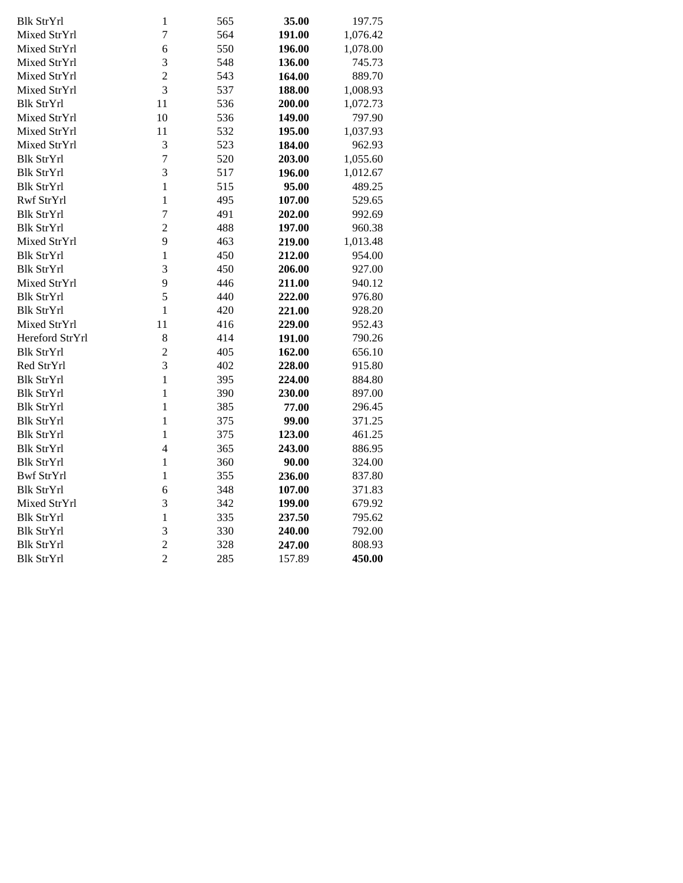| <b>Blk StrYrl</b> | $\mathbf{1}$   | 565 | 35.00  | 197.75   |
|-------------------|----------------|-----|--------|----------|
| Mixed StrYrl      | $\overline{7}$ | 564 | 191.00 | 1,076.42 |
| Mixed StrYrl      | 6              | 550 | 196.00 | 1,078.00 |
| Mixed StrYrl      | 3              | 548 | 136.00 | 745.73   |
| Mixed StrYrl      | $\overline{c}$ | 543 | 164.00 | 889.70   |
| Mixed StrYrl      | $\overline{3}$ | 537 | 188.00 | 1,008.93 |
| <b>Blk StrYrl</b> | 11             | 536 | 200.00 | 1,072.73 |
| Mixed StrYrl      | 10             | 536 | 149.00 | 797.90   |
| Mixed StrYrl      | 11             | 532 | 195.00 | 1,037.93 |
| Mixed StrYrl      | 3              | 523 | 184.00 | 962.93   |
| <b>Blk StrYrl</b> | $\overline{7}$ | 520 | 203.00 | 1,055.60 |
| <b>Blk StrYrl</b> | 3              | 517 | 196.00 | 1,012.67 |
| <b>Blk StrYrl</b> | $\mathbf{1}$   | 515 | 95.00  | 489.25   |
| Rwf StrYrl        | $\mathbf{1}$   | 495 | 107.00 | 529.65   |
| <b>Blk StrYrl</b> | $\overline{7}$ | 491 | 202.00 | 992.69   |
| <b>Blk StrYrl</b> | $\overline{c}$ | 488 | 197.00 | 960.38   |
| Mixed StrYrl      | 9              | 463 | 219.00 | 1,013.48 |
| <b>Blk StrYrl</b> | $\mathbf{1}$   | 450 | 212.00 | 954.00   |
| <b>Blk StrYrl</b> | 3              | 450 | 206.00 | 927.00   |
| Mixed StrYrl      | 9              | 446 | 211.00 | 940.12   |
| <b>Blk StrYrl</b> | 5              | 440 | 222.00 | 976.80   |
| <b>Blk StrYrl</b> | $\mathbf{1}$   | 420 | 221.00 | 928.20   |
| Mixed StrYrl      | 11             | 416 | 229.00 | 952.43   |
| Hereford StrYrl   | 8              | 414 | 191.00 | 790.26   |
| <b>Blk StrYrl</b> | $\overline{c}$ | 405 | 162.00 | 656.10   |
| Red StrYrl        | $\overline{3}$ | 402 | 228.00 | 915.80   |
| <b>Blk StrYrl</b> | $\mathbf{1}$   | 395 | 224.00 | 884.80   |
| Blk StrYrl        | $\mathbf{1}$   | 390 | 230.00 | 897.00   |
| <b>Blk StrYrl</b> | $\mathbf{1}$   | 385 | 77.00  | 296.45   |
| Blk StrYrl        | $\mathbf{1}$   | 375 | 99.00  | 371.25   |
| Blk StrYrl        | $\mathbf{1}$   | 375 | 123.00 | 461.25   |
| <b>Blk StrYrl</b> | $\overline{4}$ | 365 | 243.00 | 886.95   |
| <b>Blk StrYrl</b> | $\mathbf{1}$   | 360 | 90.00  | 324.00   |
| <b>Bwf StrYrl</b> | $\mathbf{1}$   | 355 | 236.00 | 837.80   |
| <b>Blk StrYrl</b> | 6              | 348 | 107.00 | 371.83   |
| Mixed StrYrl      | 3              | 342 | 199.00 | 679.92   |
| <b>Blk StrYrl</b> | $\mathbf{1}$   | 335 | 237.50 | 795.62   |
| <b>Blk StrYrl</b> | 3              | 330 | 240.00 | 792.00   |
| <b>Blk StrYrl</b> | $\overline{c}$ | 328 | 247.00 | 808.93   |
| <b>Blk StrYrl</b> | $\overline{2}$ | 285 | 157.89 | 450.00   |